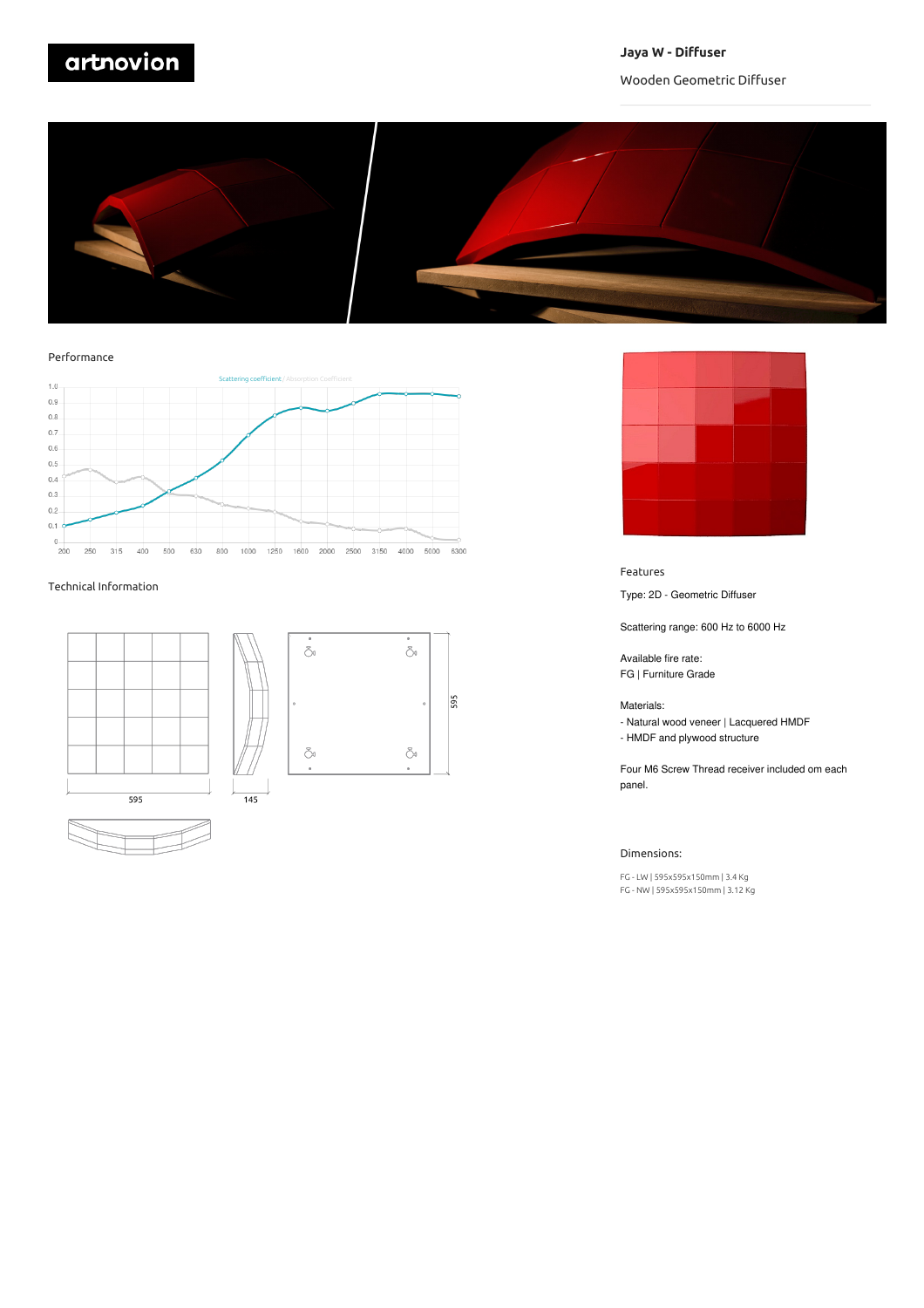# artnovion

### **Jaya W - Diffuser**

## Wooden Geometric Diffuser



### Performance



### Technical Information





 $\delta$ 

Ö.

595



### Features

Type: 2D - Geometric Diffuser

Scattering range: 600 Hz to 6000 Hz

Available fire rate: FG | Furniture Grade

### Materials:

- Natural wood veneer | Lacquered HMDF
- HMDF and plywood structure

Four M6 Screw Thread receiver included om each panel.

### Dimensions:

FG - LW |595x595x150mm | 3.4 Kg FG - NW |595x595x150mm |3.12 Kg